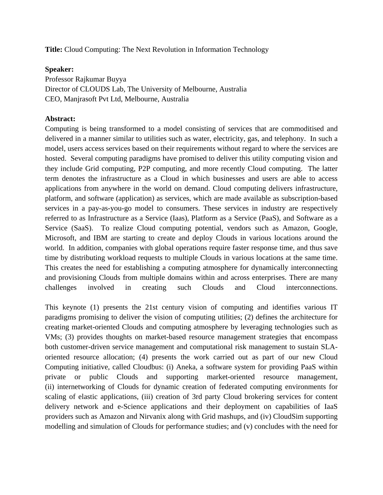**Title:** Cloud Computing: The Next Revolution in Information Technology

## **Speaker:**

Professor Rajkumar Buyya Director of CLOUDS Lab, The University of Melbourne, Australia CEO, Manjrasoft Pvt Ltd, Melbourne, Australia

## **Abstract:**

Computing is being transformed to a model consisting of services that are commoditised and delivered in a manner similar to utilities such as water, electricity, gas, and telephony. In such a model, users access services based on their requirements without regard to where the services are hosted. Several computing paradigms have promised to deliver this utility computing vision and they include Grid computing, P2P computing, and more recently Cloud computing. The latter term denotes the infrastructure as a Cloud in which businesses and users are able to access applications from anywhere in the world on demand. Cloud computing delivers infrastructure, platform, and software (application) as services, which are made available as subscription-based services in a pay-as-you-go model to consumers. These services in industry are respectively referred to as Infrastructure as a Service (Iaas), Platform as a Service (PaaS), and Software as a Service (SaaS). To realize Cloud computing potential, vendors such as Amazon, Google, Microsoft, and IBM are starting to create and deploy Clouds in various locations around the world. In addition, companies with global operations require faster response time, and thus save time by distributing workload requests to multiple Clouds in various locations at the same time. This creates the need for establishing a computing atmosphere for dynamically interconnecting and provisioning Clouds from multiple domains within and across enterprises. There are many challenges involved in creating such Clouds and Cloud interconnections.

This keynote (1) presents the 21st century vision of computing and identifies various IT paradigms promising to deliver the vision of computing utilities; (2) defines the architecture for creating market-oriented Clouds and computing atmosphere by leveraging technologies such as VMs; (3) provides thoughts on market-based resource management strategies that encompass both customer-driven service management and computational risk management to sustain SLAoriented resource allocation; (4) presents the work carried out as part of our new Cloud Computing initiative, called Cloudbus: (i) Aneka, a software system for providing PaaS within private or public Clouds and supporting market-oriented resource management, (ii) internetworking of Clouds for dynamic creation of federated computing environments for scaling of elastic applications, (iii) creation of 3rd party Cloud brokering services for content delivery network and e-Science applications and their deployment on capabilities of IaaS providers such as Amazon and Nirvanix along with Grid mashups, and (iv) CloudSim supporting modelling and simulation of Clouds for performance studies; and (v) concludes with the need for